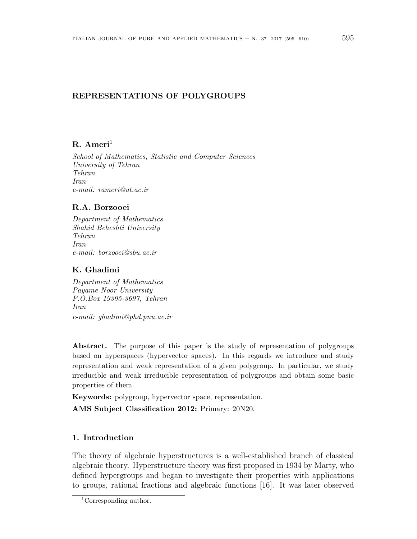# **REPRESENTATIONS OF POLYGROUPS**

# **R. Ameri**<sup>1</sup>

*School of Mathematics, Statistic and Computer Sciences University of Tehran Tehran Iran e-mail: rameri@ut.ac.ir*

## **R.A. Borzooei**

*Department of Mathematics Shahid Beheshti University Tehran Iran e-mail: borzooei@sbu.ac.ir*

### **K. Ghadimi**

*Department of Mathematics Payame Noor University P.O.Box 19395-3697, Tehran Iran e-mail: ghadimi@phd.pnu.ac.ir*

**Abstract.** The purpose of this paper is the study of representation of polygroups based on hyperspaces (hypervector spaces). In this regards we introduce and study representation and weak representation of a given polygroup. In particular, we study irreducible and weak irreducible representation of polygroups and obtain some basic properties of them.

**Keywords:** polygroup, hypervector space, representation.

**AMS Subject Classification 2012:** Primary: 20N20.

# **1. Introduction**

The theory of algebraic hyperstructures is a well-established branch of classical algebraic theory. Hyperstructure theory was first proposed in 1934 by Marty, who defined hypergroups and began to investigate their properties with applications to groups, rational fractions and algebraic functions [16]. It was later observed

<sup>1</sup>Corresponding author.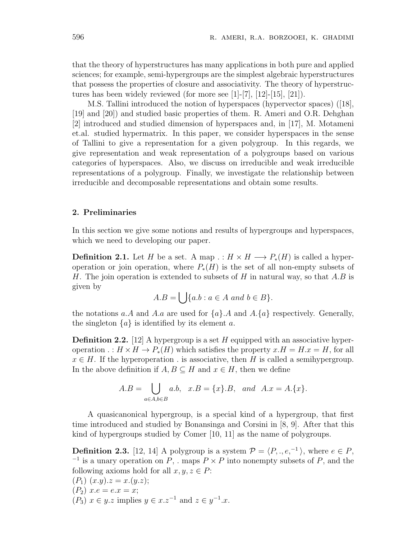that the theory of hyperstructures has many applications in both pure and applied sciences; for example, semi-hypergroups are the simplest algebraic hyperstructures that possess the properties of closure and associativity. The theory of hyperstructures has been widely reviewed (for more see [1]-[7], [12]-[15], [21]).

M.S. Tallini introduced the notion of hyperspaces (hypervector spaces) ([18], [19] and [20]) and studied basic properties of them. R. Ameri and O.R. Dehghan [2] introduced and studied dimension of hyperspaces and, in [17], M. Motameni et.al. studied hypermatrix. In this paper, we consider hyperspaces in the sense of Tallini to give a representation for a given polygroup. In this regards, we give representation and weak representation of a polygroups based on various categories of hyperspaces. Also, we discuss on irreducible and weak irreducible representations of a polygroup. Finally, we investigate the relationship between irreducible and decomposable representations and obtain some results.

#### **2. Preliminaries**

In this section we give some notions and results of hypergroups and hyperspaces, which we need to developing our paper.

**Definition 2.1.** Let *H* be a set. A map  $\cdot : H \times H \longrightarrow P_*(H)$  is called a hyperoperation or join operation, where  $P_*(H)$  is the set of all non-empty subsets of *H*. The join operation is extended to subsets of *H* in natural way, so that *A.B* is given by

$$
A.B = \bigcup \{a.b : a \in A \text{ and } b \in B\}.
$$

the notations *a.A* and *A.a* are used for  $\{a\}$ *.A* and *A.* $\{a\}$  respectively. Generally, the singleton  $\{a\}$  is identified by its element *a*.

**Definition 2.2.** [12] A hypergroup is a set *H* equipped with an associative hyperoperation  $\cdot : H \times H \to P_*(H)$  which satisfies the property  $x.H = H.x = H$ , for all  $x \in H$ . If the hyperoperation *i* is associative, then *H* is called a semihypergroup. In the above definition if *A, B*  $\subseteq$  *H* and *x*  $\in$  *H*, then we define

$$
A.B = \bigcup_{a \in A, b \in B} a.b, \ x.B = \{x\}.B, \ and \ A.x = A.\{x\}.
$$

A quasicanonical hypergroup, is a special kind of a hypergroup, that first time introduced and studied by Bonansinga and Corsini in [8, 9]. After that this kind of hypergroups studied by Comer [10, 11] as the name of polygroups.

**Definition 2.3.** [12, 14] A polygroup is a system  $\mathcal{P} = \langle P, ., e, ^{-1} \rangle$ , where  $e \in P$ , *−*1 is a unary operation on *P*, *.* maps *P × P* into nonempty subsets of *P*, and the following axioms hold for all  $x, y, z \in P$ :

 $(P_1)$   $(x,y).z = x.(y.z);$  $(P_2)$   $x.e = e.x = x;$ ( $P_3$ )  $x \in y.z$  implies  $y \in x.z^{-1}$  and  $z \in y^{-1}.x$ .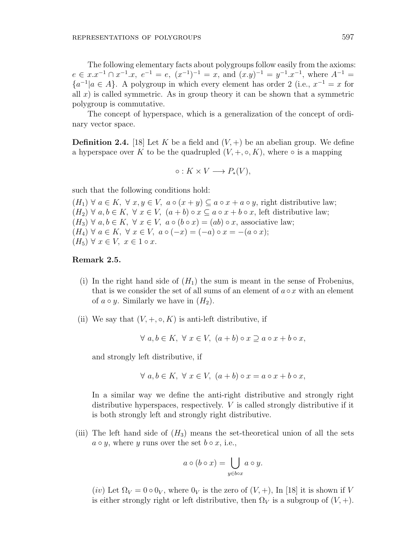The following elementary facts about polygroups follow easily from the axioms:  $e \in x \cdot x^{-1} \cap x^{-1} \cdot x$ ,  $e^{-1} = e$ ,  $(x^{-1})^{-1} = x$ , and  $(x \cdot y)^{-1} = y^{-1} \cdot x^{-1}$ , where  $A^{-1} = x$  ${a^{-1}} | a \in A$ . A polygroup in which every element has order 2 (i.e.,  $x^{-1} = x$  for all  $x$ ) is called symmetric. As in group theory it can be shown that a symmetric polygroup is commutative.

The concept of hyperspace, which is a generalization of the concept of ordinary vector space.

**Definition 2.4.** [18] Let K be a field and  $(V, +)$  be an abelian group. We define a hyperspace over K to be the quadrupled  $(V, +, \circ, K)$ , where  $\circ$  is a mapping

$$
\circ: K \times V \longrightarrow P_*(V),
$$

such that the following conditions hold:

 $(H_1)$   $\forall$  *a* ∈ *K*,  $\forall$  *x*,  $y \in V$ , *a*  $\circ$   $(x + y) \subseteq a \circ x + a \circ y$ , right distributive law;  $(H_2)$   $\forall$  *a*, *b* ∈ *K*,  $\forall$  *x* ∈ *V*,  $(a + b) \circ x \subseteq a \circ x + b \circ x$ , left distributive law;  $(H_3) \forall a, b \in K, \forall x \in V, a \circ (b \circ x) = (ab) \circ x$ , associative law;  $(H_4) \ \forall \ a \in K, \ \forall \ x \in V, \ a \circ (-x) = (-a) \circ x = -(a \circ x);$  $(H_5)$   $\forall x \in V, x \in 1 \circ x.$ 

### **Remark 2.5.**

- (i) In the right hand side of  $(H_1)$  the sum is meant in the sense of Frobenius, that is we consider the set of all sums of an element of  $a \circ x$  with an element of  $a \circ y$ . Similarly we have in  $(H_2)$ .
- (ii) We say that  $(V, +, \circ, K)$  is anti-left distributive, if

$$
\forall a, b \in K, \ \forall x \in V, \ (a+b) \circ x \supseteq a \circ x + b \circ x,
$$

and strongly left distributive, if

$$
\forall a, b \in K, \ \forall x \in V, \ (a+b) \circ x = a \circ x + b \circ x,
$$

In a similar way we define the anti-right distributive and strongly right distributive hyperspaces, respectively. *V* is called strongly distributive if it is both strongly left and strongly right distributive.

(iii) The left hand side of  $(H_3)$  means the set-theoretical union of all the sets  $a \circ y$ , where *y* runs over the set  $b \circ x$ , i.e.,

$$
a \circ (b \circ x) = \bigcup_{y \in b \circ x} a \circ y.
$$

(*iv*) Let  $\Omega_V = 0 \circ 0_V$ , where  $0_V$  is the zero of  $(V, +)$ , In [18] it is shown if V is either strongly right or left distributive, then  $\Omega_V$  is a subgroup of  $(V, +)$ .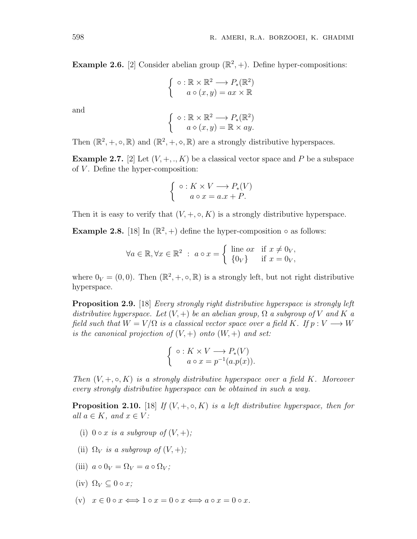**Example 2.6.** [2] Consider abelian group  $(\mathbb{R}^2, +)$ . Define hyper-compositions:

$$
\begin{cases} \circ : \mathbb{R} \times \mathbb{R}^2 \longrightarrow P_*(\mathbb{R}^2) \\ a \circ (x, y) = ax \times \mathbb{R} \end{cases}
$$

and

$$
\begin{cases} \diamond : \mathbb{R} \times \mathbb{R}^2 \longrightarrow P_*(\mathbb{R}^2) \\ a \diamond (x, y) = \mathbb{R} \times ay. \end{cases}
$$

Then  $(\mathbb{R}^2, +, \circ, \mathbb{R})$  and  $(\mathbb{R}^2, +, \circ, \mathbb{R})$  are a strongly distributive hyperspaces.

**Example 2.7.** [2] Let  $(V, +, \ldots, K)$  be a classical vector space and P be a subspace of *V* . Define the hyper-composition:

$$
\begin{cases} \circ: K \times V \longrightarrow P_*(V) \\ a \circ x = a.x + P. \end{cases}
$$

Then it is easy to verify that  $(V, +, \circ, K)$  is a strongly distributive hyperspace.

**Example 2.8.** [18] In  $(\mathbb{R}^2, +)$  define the hyper-composition  $\circ$  as follows:

$$
\forall a \in \mathbb{R}, \forall x \in \mathbb{R}^2 : a \circ x = \begin{cases} \text{ line } \text{ox} & \text{if } x \neq 0_V, \\ \{0_V\} & \text{if } x = 0_V, \end{cases}
$$

where  $0_V = (0, 0)$ . Then  $(\mathbb{R}^2, +, \circ, \mathbb{R})$  is a strongly left, but not right distributive hyperspace.

**Proposition 2.9.** [18] *Every strongly right distributive hyperspace is strongly left distributive hyperspace. Let*  $(V, +)$  *be an abelian group,*  $\Omega$  *a subgroup of*  $V$  *and*  $K$  *a field such that*  $W = V/\Omega$  *is a classical vector space over a field*  $K$ *. If*  $p: V \longrightarrow W$ *is the canonical projection of*  $(V,+)$  *onto*  $(W,+)$  *and set:* 

$$
\begin{cases} \circ: K \times V \longrightarrow P_*(V) \\ a \circ x = p^{-1}(a.p(x)). \end{cases}
$$

*Then*  $(V, +, \circ, K)$  *is a strongly distributive hyperspace over a field K. Moreover every strongly distributive hyperspace can be obtained in such a way.*

**Proposition 2.10.** [18] *If*  $(V, +, \circ, K)$  *is a left distributive hyperspace, then for*  $all \ a \in K, \ and \ x \in V:$ 

- (i)  $0 \circ x$  *is a subgroup of*  $(V, +)$ ;
- (ii)  $\Omega_V$  *is a subgroup of*  $(V, +)$ *;*
- $(iii)$   $a \circ 0_V = \Omega_V = a \circ \Omega_V$ ;
- $(iv)$   $\Omega_V \subset 0 \circ x$ ;
- $(x)$   $x \in 0 \circ x \Longleftrightarrow 1 \circ x = 0 \circ x \Longleftrightarrow a \circ x = 0 \circ x.$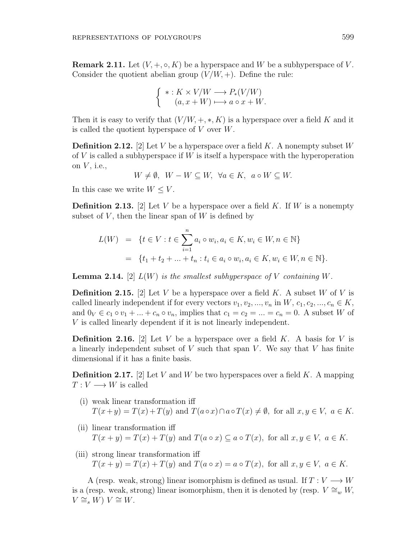**Remark 2.11.** Let  $(V, +, \circ, K)$  be a hyperspace and W be a subhyperspace of V. Consider the quotient abelian group  $(V/W, +)$ . Define the rule:

$$
\begin{cases}\n* : K \times V/W \longrightarrow P_*(V/W) \\
(a, x + W) \longmapsto a \circ x + W.\n\end{cases}
$$

Then it is easy to verify that  $(V/W, +, *, K)$  is a hyperspace over a field K and it is called the quotient hyperspace of *V* over *W*.

**Definition 2.12.** [2] Let *V* be a hyperspace over a field *K*. A nonempty subset *W* of *V* is called a subhyperspace if *W* is itself a hyperspace with the hyperoperation on *V* , i.e.,

 $W \neq \emptyset$ ,  $W - W \subseteq W$ ,  $\forall a \in K$ ,  $a \circ W \subseteq W$ .

In this case we write  $W \leq V$ .

**Definition 2.13.** [2] Let *V* be a hyperspace over a field *K*. If *W* is a nonempty subset of  $V$ , then the linear span of  $W$  is defined by

$$
L(W) = \{ t \in V : t \in \sum_{i=1}^{n} a_i \circ w_i, a_i \in K, w_i \in W, n \in \mathbb{N} \}
$$
  
= 
$$
\{ t_1 + t_2 + \dots + t_n : t_i \in a_i \circ w_i, a_i \in K, w_i \in W, n \in \mathbb{N} \}.
$$

**Lemma 2.14.**  $[2] L(W)$  *is the smallest subhyperspace of V containing W.* 

**Definition 2.15.** [2] Let *V* be a hyperspace over a field *K*. A subset *W* of *V* is called linearly independent if for every vectors  $v_1, v_2, ..., v_n$  in  $W, c_1, c_2, ..., c_n \in K$ , and  $0_V \in c_1 \circ v_1 + \ldots + c_n \circ v_n$ , implies that  $c_1 = c_2 = \ldots = c_n = 0$ . A subset *W* of *V* is called linearly dependent if it is not linearly independent.

**Definition 2.16.** [2] Let *V* be a hyperspace over a field *K*. A basis for *V* is a linearly independent subset of *V* such that span *V* . We say that *V* has finite dimensional if it has a finite basis.

**Definition 2.17.** [2] Let *V* and *W* be two hyperspaces over a field *K*. A mapping  $T: V \longrightarrow W$  is called

- (i) weak linear transformation iff  $T(x+y) = T(x) + T(y)$  and  $T(a \circ x) \cap a \circ T(x) \neq \emptyset$ , for all  $x, y \in V$ ,  $a \in K$ .
- (ii) linear transformation iff  $T(x + y) = T(x) + T(y)$  and  $T(a \circ x) \subseteq a \circ T(x)$ , for all  $x, y \in V$ ,  $a \in K$ .
- (iii) strong linear transformation iff  $T(x + y) = T(x) + T(y)$  and  $T(a \circ x) = a \circ T(x)$ , for all  $x, y \in V$ ,  $a \in K$ .

A (resp. weak, strong) linear isomorphism is defined as usual. If  $T: V \longrightarrow W$ is a (resp. weak, strong) linear isomorphism, then it is denoted by (resp.  $V \cong_w W$ , *V*  $\cong$ <sub>*s*</sub> *W*) *V*  $\cong$  *W*.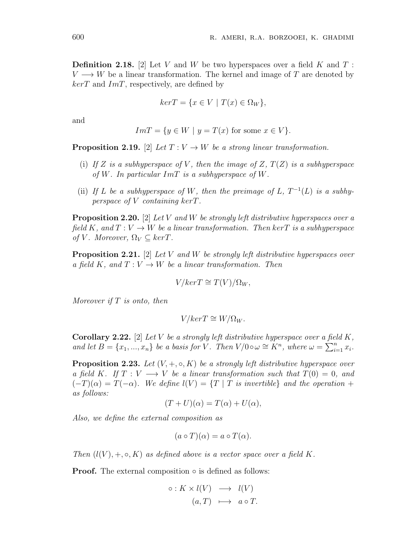**Definition 2.18.** [2] Let *V* and *W* be two hyperspaces over a field *K* and *T* :  $V \rightarrow W$  be a linear transformation. The kernel and image of *T* are denoted by *kerT* and *ImT*, respectively, are defined by

$$
ker T = \{ x \in V \mid T(x) \in \Omega_W \},
$$

and

$$
Im T = \{y \in W \mid y = T(x) \text{ for some } x \in V\}.
$$

**Proposition 2.19.** [2] *Let*  $T: V \to W$  *be a strong linear transformation.* 

- (i) If  $Z$  *is a subhyperspace of*  $V$ *, then the image of*  $Z$ *,*  $T(Z)$  *is a subhyperspace of W. In particular ImT is a subhyperspace of W.*
- (ii) If *L* be a subhyperspace of *W*, then the preimage of *L*,  $T^{-1}(L)$  is a subhy*perspace of V containing kerT.*

**Proposition 2.20.** [2] *Let V and W be strongly left distributive hyperspaces over a field*  $K$ , and  $T: V \to W$  be a linear transformation. Then kerT is a subhyperspace *of V. Moreover*,  $\Omega_V \subset \text{ker}T$ *.* 

**Proposition 2.21.** [2] *Let V and W be strongly left distributive hyperspaces over a field K, and*  $T: V \to W$  *be a linear transformation. Then* 

$$
V/ker T \cong T(V)/\Omega_W,
$$

*Moreover if T is onto, then*

$$
V/ker T \cong W/\Omega_W.
$$

**Corollary 2.22.** [2] *Let V be a strongly left distributive hyperspace over a field K,* and let  $B = \{x_1, ..., x_n\}$  be a basis for V. Then  $V/0 \circ \omega \cong K^n$ , where  $\omega = \sum_{i=1}^n x_i$ .

**Proposition 2.23.** Let  $(V, +, \circ, K)$  be a strongly left distributive hyperspace over *a* field *K*. If  $T: V \longrightarrow V$  be a linear transformation such that  $T(0) = 0$ , and  $(-T)(\alpha) = T(-\alpha)$ *. We define*  $l(V) = \{T | T \text{ is invertible}\}$  and the operation + *as follows:*

$$
(T+U)(\alpha) = T(\alpha) + U(\alpha),
$$

*Also, we define the external composition as*

$$
(a \circ T)(\alpha) = a \circ T(\alpha).
$$

*Then*  $(l(V), +, \circ, K)$  *as defined above is a vector space over a field K.* 

**Proof.** The external composition *◦* is defined as follows:

$$
\circ: K \times l(V) \longrightarrow l(V)
$$
  

$$
(a,T) \longmapsto a \circ T.
$$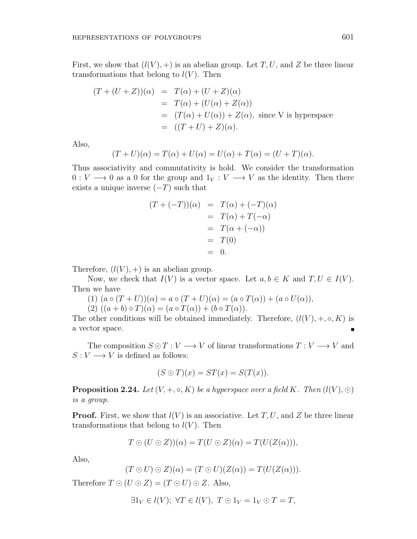First, we show that  $(l(V),+)$  is an abelian group. Let T, U, and Z be three linear transformations that belong to  $l(V)$ . Then

$$
(T + (U + Z))(\alpha) = T(\alpha) + (U + Z)(\alpha)
$$
  
=  $T(\alpha) + (U(\alpha) + Z(\alpha))$   
=  $(T(\alpha) + U(\alpha)) + Z(\alpha)$ , since V is hyperspace  
=  $((T + U) + Z)(\alpha)$ .

Also,

$$
(T+U)(\alpha) = T(\alpha) + U(\alpha) = U(\alpha) + T(\alpha) = (U+T)(\alpha).
$$

Thus associativity and commutativity is hold. We consider the transformation  $0: V \longrightarrow 0$  as a 0 for the group and  $1_V: V \longrightarrow V$  as the identity. Then there exists a unique inverse (*−T*) such that

$$
(T + (-T))(\alpha) = T(\alpha) + (-T)(\alpha)
$$
  
=  $T(\alpha) + T(-\alpha)$   
=  $T(\alpha + (-\alpha))$   
=  $T(0)$   
= 0.

Therefore,  $(l(V), +)$  is an abelian group.

Now, we check that  $I(V)$  is a vector space. Let  $a, b \in K$  and  $T, U \in I(V)$ . Then we have

- $(1)$   $(a \circ (T + U))(\alpha) = a \circ (T + U)(\alpha) = (a \circ T(\alpha)) + (a \circ U(\alpha)),$
- $(2) ((a + b) \circ T)(\alpha) = (a \circ T(\alpha)) + (b \circ T(\alpha)).$

The other conditions will be obtained immediately. Therefore,  $(l(V), +, \circ, K)$  is a vector space.

The composition  $S \odot T : V \longrightarrow V$  of linear transformations  $T : V \longrightarrow V$  and  $S: V \longrightarrow V$  is defined as follows:

$$
(S \odot T)(x) = ST(x) = S(T(x)).
$$

**Proposition 2.24.** *Let*  $(V, +, \circ, K)$  *be a hyperspace over a field*  $K$ *. Then*  $(l(V), \circ)$ *is a group.*

**Proof.** First, we show that  $l(V)$  is an associative. Let  $T, U$ , and  $Z$  be three linear transformations that belong to  $l(V)$ . Then

$$
T \odot (U \odot Z))(\alpha) = T(U \odot Z)(\alpha) = T(U(Z(\alpha))),
$$

Also,

$$
(T \odot U) \odot Z)(\alpha) = (T \odot U)(Z(\alpha)) = T(U(Z(\alpha))).
$$

Therefore  $T \odot (U \odot Z) = (T \odot U) \odot Z$ . Also,

$$
\exists 1_V \in l(V); \ \forall T \in l(V), \ T \odot 1_V = 1_V \odot T = T,
$$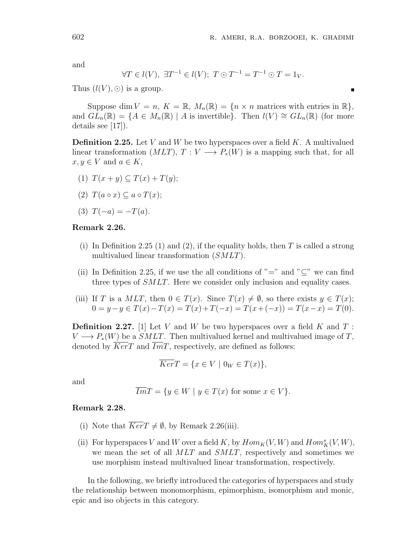$\blacksquare$ 

and

$$
\forall T \in l(V), \ \exists T^{-1} \in l(V); \ T \odot T^{-1} = T^{-1} \odot T = 1_V.
$$

Thus  $(l(V), \odot)$  is a group.

Suppose dim  $V = n$ ,  $K = \mathbb{R}$ ,  $M_n(\mathbb{R}) = \{n \times n \text{ matrices with entries in } \mathbb{R}\},\$ and  $GL_n(\mathbb{R}) = \{A \in M_n(\mathbb{R}) \mid A \text{ is invertible}\}\.$  Then  $l(V) \cong GL_n(\mathbb{R})$  (for more details see [17]).

**Definition 2.25.** Let *V* and *W* be two hyperspaces over a field *K*. A multivalued linear transformation  $(MLT)$ ,  $T: V \longrightarrow P_*(W)$  is a mapping such that, for all  $x, y \in V$  and  $a \in K$ ,

- (1)  $T(x + y)$  ⊂  $T(x) + T(y)$ ;
- $(T(2)$   $T(a \circ x) \subseteq a \circ T(x);$
- (3)  $T(-a) = -T(a)$ .

#### **Remark 2.26.**

- (i) In Definition 2.25 (1) and (2), if the equality holds, then *T* is called a strong multivalued linear transformation (*SMLT*).
- (ii) In Definition 2.25, if we use the all conditions of "=" and "*⊆*" we can find three types of *SMLT*. Here we consider only inclusion and equality cases.
- (iii) If *T* is a  $MLT$ , then  $0 \in T(x)$ . Since  $T(x) \neq \emptyset$ , so there exists  $y \in T(x)$ ;  $0 = y - y \in T(x) - T(x) = T(x) + T(-x) = T(x + (-x)) = T(x - x) = T(0).$

**Definition 2.27.** [1] Let *V* and *W* be two hyperspaces over a field *K* and *T* :  $V \longrightarrow P_*(W)$  be a *SMLT*. Then multivalued kernel and multivalued image of *T*, denoted by *KerT* and *ImT*, respectively, are defined as follows:

$$
\overline{Ker}T = \{ x \in V \mid 0_W \in T(x) \},
$$

and

$$
\overline{Im}T = \{ y \in W \mid y \in T(x) \text{ for some } x \in V \}.
$$

#### **Remark 2.28.**

- (i) Note that  $\overline{Ker}T \neq \emptyset$ , by Remark 2.26(iii).
- (ii) For hyperspaces *V* and *W* over a field *K*, by  $Hom_K(V, W)$  and  $Hom_K^s(V, W)$ , we mean the set of all *MLT* and *SMLT*, respectively and sometimes we use morphism instead multivalued linear transformation, respectively.

In the following, we briefly introduced the categories of hyperspaces and study the relationship between monomorphism, epimorphism, isomorphism and monic, epic and iso objects in this category.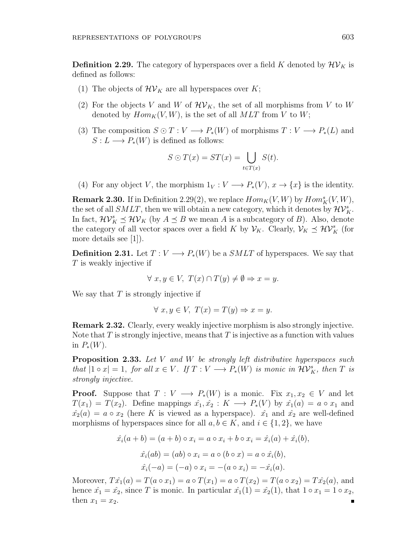**Definition 2.29.** The category of hyperspaces over a field K denoted by  $\mathcal{HV}_K$  is defined as follows:

- (1) The objects of  $\mathcal{HV}_K$  are all hyperspaces over  $K$ ;
- (2) For the objects *V* and *W* of  $\mathcal{HV}_K$ , the set of all morphisms from *V* to *W* denoted by  $Hom_K(V, W)$ , is the set of all  $MLT$  from V to W;
- (3) The composition  $S \odot T : V \longrightarrow P_*(W)$  of morphisms  $T : V \longrightarrow P_*(L)$  and  $S: L \longrightarrow P_*(W)$  is defined as follows:

$$
S \odot T(x) = ST(x) = \bigcup_{t \in T(x)} S(t).
$$

(4) For any object *V*, the morphism  $1_V: V \longrightarrow P_*(V)$ ,  $x \to \{x\}$  is the identity.

**Remark 2.30.** If in Definition 2.29(2), we replace  $Hom_K(V, W)$  by  $Hom_K^s(V, W)$ , the set of all  $SMLT$ , then we will obtain a new category, which it denotes by  $\mathcal{HV}_{K}^{s}$ . In fact,  $\mathcal{HV}_K^s \preceq \mathcal{HV}_K$  (by  $A \preceq B$  we mean *A* is a subcategory of *B*). Also, denote the category of all vector spaces over a field *K* by  $\mathcal{V}_K$ . Clearly,  $\mathcal{V}_K \preceq \mathcal{HV}_K^s$  (for more details see [1]).

**Definition 2.31.** Let  $T: V \longrightarrow P_*(W)$  be a *SMLT* of hyperspaces. We say that *T* is weakly injective if

$$
\forall x, y \in V, T(x) \cap T(y) \neq \emptyset \Rightarrow x = y.
$$

We say that *T* is strongly injective if

$$
\forall x, y \in V, T(x) = T(y) \Rightarrow x = y.
$$

**Remark 2.32.** Clearly, every weakly injective morphism is also strongly injective. Note that *T* is strongly injective, means that *T* is injective as a function with values in  $P_*(W)$ .

**Proposition 2.33.** *Let V and W be strongly left distributive hyperspaces such* that  $|1 \circ x| = 1$ , for all  $x \in V$ . If  $T : V \longrightarrow P_*(W)$  is monic in  $\mathcal{HV}_K^s$ , then T is *strongly injective.*

**Proof.** Suppose that  $T: V \longrightarrow P_*(W)$  is a monic. Fix  $x_1, x_2 \in V$  and let  $T(x_1) = T(x_2)$ . Define mappings  $\hat{x_1}, \hat{x_2} : K \longrightarrow P_*(V)$  by  $\hat{x_1}(a) = a \circ x_1$  and  $\hat{x}_2(a) = a \circ x_2$  (here *K* is viewed as a hyperspace).  $\hat{x}_1$  and  $\hat{x}_2$  are well-defined morphisms of hyperspaces since for all  $a, b \in K$ , and  $i \in \{1, 2\}$ , we have

$$
\hat{x}_i(a+b) = (a+b) \circ x_i = a \circ x_i + b \circ x_i = \hat{x}_i(a) + \hat{x}_i(b),
$$
  

$$
\hat{x}_i(ab) = (ab) \circ x_i = a \circ (b \circ x) = a \circ \hat{x}_i(b),
$$
  

$$
\hat{x}_i(-a) = (-a) \circ x_i = -(a \circ x_i) = -\hat{x}_i(a).
$$

Moreover,  $T\hat{x_1}(a) = T(a \circ x_1) = a \circ T(x_1) = a \circ T(x_2) = T(a \circ x_2) = T\hat{x_2}(a)$ , and hence  $\hat{x_1} = \hat{x_2}$ , since *T* is monic. In particular  $\hat{x_1}(1) = \hat{x_2}(1)$ , that  $1 \circ x_1 = 1 \circ x_2$ , then  $x_1 = x_2$ . Е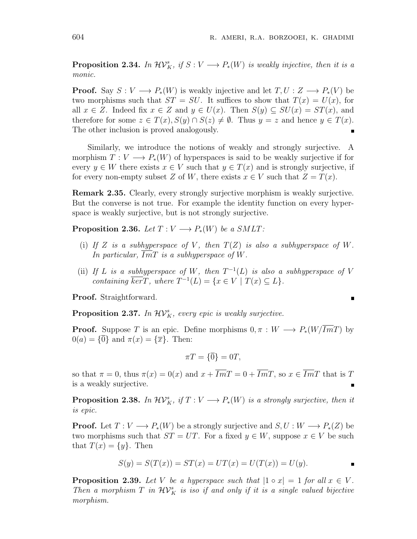**Proposition 2.34.** *In*  $\mathcal{HV}_K^s$ , *if*  $S: V \longrightarrow P_*(W)$  *is weakly injective, then it is a monic.*

**Proof.** Say  $S: V \longrightarrow P_*(W)$  is weakly injective and let  $T, U: Z \longrightarrow P_*(V)$  be two morphisms such that  $ST = SU$ . It suffices to show that  $T(x) = U(x)$ , for all  $x \in Z$ . Indeed fix  $x \in Z$  and  $y \in U(x)$ . Then  $S(y) \subseteq SU(x) = ST(x)$ , and therefore for some  $z \in T(x), S(y) \cap S(z) \neq \emptyset$ . Thus  $y = z$  and hence  $y \in T(x)$ . The other inclusion is proved analogously.

Similarly, we introduce the notions of weakly and strongly surjective. A morphism  $T: V \longrightarrow P_*(W)$  of hyperspaces is said to be weakly surjective if for every  $y \in W$  there exists  $x \in V$  such that  $y \in T(x)$  and is strongly surjective, if for every non-empty subset *Z* of *W*, there exists  $x \in V$  such that  $Z = T(x)$ .

**Remark 2.35.** Clearly, every strongly surjective morphism is weakly surjective. But the converse is not true. For example the identity function on every hyperspace is weakly surjective, but is not strongly surjective.

**Proposition 2.36.** *Let*  $T: V \longrightarrow P_*(W)$  *be a SMLT*:

- (i) If  $Z$  *is a subhyperspace of*  $V$ *, then*  $T(Z)$  *is also a subhyperspace of*  $W$ *.* In particular,  $\overline{Im}T$  is a subhyperspace of W.
- (ii) If *L* is a subhyperspace of *W*, then  $T^{-1}(L)$  is also a subhyperspace of *V containing*  $\overline{ker}T$ *, where*  $T^{-1}(L) = \{x \in V \mid T(x) \subseteq L\}$ *.*

**Proof.** Straightforward.

**Proposition 2.37.** In  $\mathcal{HV}_K^s$ , every epic is weakly surjective.

**Proof.** Suppose *T* is an epic. Define morphisms  $0, \pi : W \longrightarrow P_*(W/ImT)$  by  $0(a) = {\overline{0}}$  and  $\pi(x) = {\overline{x}}$ . Then:

$$
\pi T = {\overline{0}} = 0T,
$$

so that  $\pi = 0$ , thus  $\pi(x) = 0(x)$  and  $x + \overline{Im}T = 0 + \overline{Im}T$ , so  $x \in \overline{Im}T$  that is T is a weakly surjective.

**Proposition 2.38.** In  $\mathcal{HV}_K^s$ , if  $T: V \longrightarrow P_*(W)$  is a strongly surjective, then it *is epic.*

**Proof.** Let  $T: V \longrightarrow P_*(W)$  be a strongly surjective and  $S, U: W \longrightarrow P_*(Z)$  be two morphisms such that  $ST = UT$ . For a fixed  $y \in W$ , suppose  $x \in V$  be such that  $T(x) = \{y\}$ . Then

$$
S(y) = S(T(x)) = ST(x) = UT(x) = U(T(x)) = U(y).
$$

**Proposition 2.39.** Let V be a hyperspace such that  $|1 \circ x| = 1$  for all  $x \in V$ . *Then a morphism*  $T$  *in*  $\mathcal{HV}_K^s$  *is iso if and only if it is a single valued bijective morphism.*

$$
\blacksquare
$$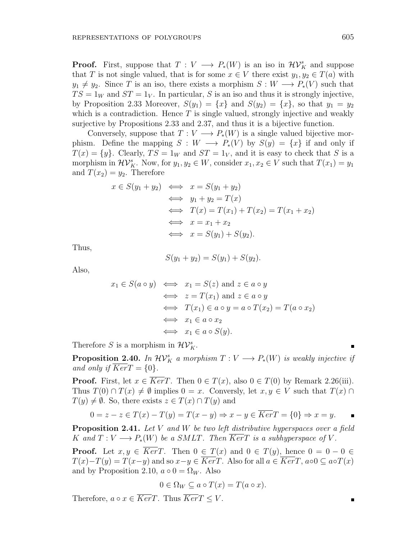**Proof.** First, suppose that  $T: V \longrightarrow P_*(W)$  is an iso in  $\mathcal{HV}_K^s$  and suppose that *T* is not single valued, that is for some  $x \in V$  there exist  $y_1, y_2 \in T(a)$  with  $y_1 \neq y_2$ . Since *T* is an iso, there exists a morphism  $S: W \longrightarrow P_*(V)$  such that  $TS = 1_W$  and  $ST = 1_V$ . In particular, *S* is an iso and thus it is strongly injective, by Proposition 2.33 Moreover,  $S(y_1) = \{x\}$  and  $S(y_2) = \{x\}$ , so that  $y_1 = y_2$ which is a contradiction. Hence T is single valued, strongly injective and weakly surjective by Propositions 2.33 and 2.37, and thus it is a bijective function.

Conversely, suppose that  $T: V \longrightarrow P_*(W)$  is a single valued bijective morphism. Define the mapping  $S: W \longrightarrow P_*(V)$  by  $S(y) = \{x\}$  if and only if  $T(x) = \{y\}$ . Clearly,  $TS = 1_W$  and  $ST = 1_V$ , and it is easy to check that *S* is a morphism in  $\mathcal{HV}_{K}^{s}$ . Now, for  $y_1, y_2 \in W$ , consider  $x_1, x_2 \in V$  such that  $T(x_1) = y_1$ and  $T(x_2) = y_2$ . Therefore

$$
x \in S(y_1 + y_2) \iff x = S(y_1 + y_2)
$$
  
\n
$$
\iff y_1 + y_2 = T(x)
$$
  
\n
$$
\iff T(x) = T(x_1) + T(x_2) = T(x_1 + x_2)
$$
  
\n
$$
\iff x = x_1 + x_2
$$
  
\n
$$
\iff x = S(y_1) + S(y_2).
$$

Thus,

$$
S(y_1 + y_2) = S(y_1) + S(y_2).
$$

Also,

$$
x_1 \in S(a \circ y) \iff x_1 = S(z) \text{ and } z \in a \circ y
$$
  

$$
\iff z = T(x_1) \text{ and } z \in a \circ y
$$
  

$$
\iff T(x_1) \in a \circ y = a \circ T(x_2) = T(a \circ x_2)
$$
  

$$
\iff x_1 \in a \circ x_2
$$
  

$$
\iff x_1 \in a \circ S(y).
$$

Therefore *S* is a morphism in  $\mathcal{HV}_{K}^{s}$ .

**Proposition 2.40.** *In*  $\mathcal{HV}_K^s$  *a morphism*  $T: V \longrightarrow P_*(W)$  *is weakly injective if and only if*  $KerT = \{0\}$ *.* 

**Proof.** First, let  $x \in Ker T$ . Then  $0 \in T(x)$ , also  $0 \in T(0)$  by Remark 2.26(iii). Thus  $T(0) \cap T(x) \neq \emptyset$  implies  $0 = x$ . Conversly, let  $x, y \in V$  such that  $T(x) \cap T(x)$  $T(y) \neq \emptyset$ . So, there exists  $z \in T(x) \cap T(y)$  and

$$
0 = z - z \in T(x) - T(y) = T(x - y) \Rightarrow x - y \in \overline{Ker}T = \{0\} \Rightarrow x = y.
$$

**Proposition 2.41.** *Let V and W be two left distributive hyperspaces over a field K* and  $T: V \longrightarrow P_*(W)$  be a *SMLT*. Then  $\overline{Ker}T$  *is a subhyperspace of V*.

**Proof.** Let  $x, y \in \overline{Ker}T$ . Then  $0 \in T(x)$  and  $0 \in T(y)$ , hence  $0 = 0 - 0 \in$  $T(x) - T(y) = T(x - y)$  and so  $x - y \in Ker T$ . Also for all  $a \in Ker T$ ,  $a \circ 0 \subseteq a \circ T(x)$ and by Proposition 2.10,  $a \circ 0 = \Omega_W$ . Also

$$
0 \in \Omega_W \subseteq a \circ T(x) = T(a \circ x).
$$

Therefore,  $a \circ x \in \overline{Ker}T$ . Thus  $\overline{Ker}T \leq V$ .

Ė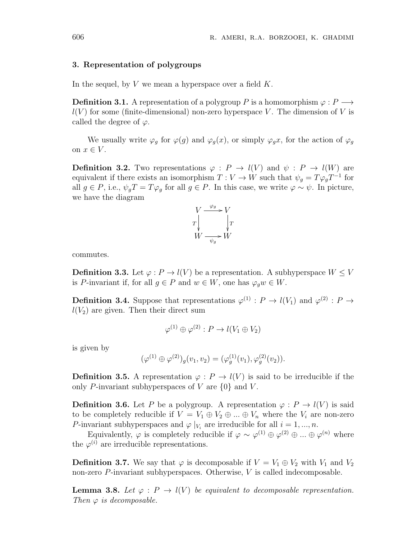#### **3. Representation of polygroups**

In the sequel, by *V* we mean a hyperspace over a field *K*.

**Definition 3.1.** A representation of a polygroup *P* is a homomorphism  $\varphi : P \longrightarrow$  $l(V)$  for some (finite-dimensional) non-zero hyperspace *V*. The dimension of *V* is called the degree of  $\varphi$ .

We usually write  $\varphi_g$  for  $\varphi(g)$  and  $\varphi_g(x)$ , or simply  $\varphi_g(x)$ , for the action of  $\varphi_g$ on  $x \in V$ .

**Definition 3.2.** Two representations  $\varphi : P \to l(V)$  and  $\psi : P \to l(W)$  are equivalent if there exists an isomorphism  $T: V \to W$  such that  $\psi_g = T \varphi_g T^{-1}$  for all  $g \in P$ , i.e.,  $\psi_g T = T \varphi_g$  for all  $g \in P$ . In this case, we write  $\varphi \sim \psi$ . In picture, we have the diagram



commutes.

**Definition 3.3.** Let  $\varphi: P \to l(V)$  be a representation. A subhyperspace  $W \leq V$ is *P*-invariant if, for all  $g \in P$  and  $w \in W$ , one has  $\varphi_g w \in W$ .

**Definition 3.4.** Suppose that representations  $\varphi^{(1)}$  :  $P \to l(V_1)$  and  $\varphi^{(2)}$  :  $P \to$  $l(V_2)$  are given. Then their direct sum

$$
\varphi^{(1)} \oplus \varphi^{(2)} : P \to l(V_1 \oplus V_2)
$$

is given by

$$
(\varphi^{(1)} \oplus \varphi^{(2)})_g(v_1, v_2) = (\varphi^{(1)}_g(v_1), \varphi^{(2)}_g(v_2)).
$$

**Definition 3.5.** A representation  $\varphi$  :  $P \to l(V)$  is said to be irreducible if the only *P*-invariant subhyperspaces of *V* are *{*0*}* and *V* .

**Definition 3.6.** Let *P* be a polygroup. A representation  $\varphi : P \to l(V)$  is said to be completely reducible if  $V = V_1 \oplus V_2 \oplus ... \oplus V_n$  where the  $V_i$  are non-zero *P*-invariant subhyperspaces and  $\varphi |_{V_i}$  are irreducible for all  $i = 1, ..., n$ .

Equivalently,  $\varphi$  is completely reducible if  $\varphi \sim \varphi^{(1)} \oplus \varphi^{(2)} \oplus ... \oplus \varphi^{(n)}$  where the  $\varphi^{(i)}$  are irreducible representations.

**Definition 3.7.** We say that  $\varphi$  is decomposable if  $V = V_1 \oplus V_2$  with  $V_1$  and  $V_2$ non-zero *P*-invariant subhyperspaces. Otherwise, *V* is called indecomposable.

**Lemma 3.8.** Let  $\varphi$  :  $P \to l(V)$  be equivalent to decomposable representation. *Then*  $\varphi$  *is decomposable.*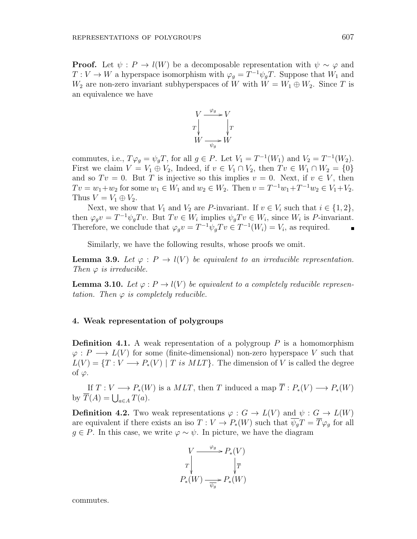**Proof.** Let  $\psi$ :  $P \to l(W)$  be a decomposable representation with  $\psi \sim \varphi$  and  $T: V \to W$  a hyperspace isomorphism with  $\varphi_g = T^{-1} \psi_g T$ . Suppose that  $W_1$  and  $W_2$  are non-zero invariant subhyperspaces of *W* with  $W = W_1 \oplus W_2$ . Since *T* is an equivalence we have



commutes, i.e.,  $T\varphi_g = \psi_g T$ , for all  $g \in P$ . Let  $V_1 = T^{-1}(W_1)$  and  $V_2 = T^{-1}(W_2)$ . First we claim  $V = V_1 \oplus V_2$ , Indeed, if  $v \in V_1 \cap V_2$ , then  $Tv \in W_1 \cap W_2 = \{0\}$ and so  $Tv = 0$ . But *T* is injective so this implies  $v = 0$ . Next, if  $v \in V$ , then  $Tv = w_1 + w_2$  for some  $w_1 \in W_1$  and  $w_2 \in W_2$ . Then  $v = T^{-1}w_1 + T^{-1}w_2 \in V_1 + V_2$ . Thus  $V = V_1 \oplus V_2$ .

Next, we show that  $V_1$  and  $V_2$  are *P*-invariant. If  $v \in V_i$  such that  $i \in \{1, 2\}$ , then  $\varphi_g v = T^{-1} \psi_g T v$ . But  $T v \in W_i$  implies  $\psi_g T v \in W_i$ , since  $W_i$  is P-invariant. Therefore, we conclude that  $\varphi_g v = T^{-1} \psi_g T v \in T^{-1}(W_i) = V_i$ , as required.

Similarly, we have the following results, whose proofs we omit.

**Lemma 3.9.** Let  $\varphi$  :  $P \to l(V)$  be equivalent to an irreducible representation. *Then*  $\varphi$  *is irreducible.* 

**Lemma 3.10.** Let  $\varphi$ :  $P \to l(V)$  be equivalent to a completely reducible represen*tation.* Then  $\varphi$  *is completely reducible.* 

#### **4. Weak representation of polygroups**

**Definition 4.1.** A weak representation of a polygroup *P* is a homomorphism  $\varphi$ :  $P \longrightarrow L(V)$  for some (finite-dimensional) non-zero hyperspace *V* such that  $L(V) = \{T : V \longrightarrow P_*(V) \mid T \text{ is } MLT\}$ . The dimension of *V* is called the degree of *φ*.

If  $T: V \longrightarrow P_*(W)$  is a  $MLT$ , then *T* induced a map  $\overline{T}: P_*(V) \longrightarrow P_*(W)$ by  $\overline{T}(A) = \bigcup_{a \in A} T(a).$ 

**Definition 4.2.** Two weak representations  $\varphi : G \to L(V)$  and  $\psi : G \to L(W)$ are equivalent if there exists an iso  $T: V \to P_*(W)$  such that  $\overline{\psi_q}T = \overline{T}\varphi_q$  for all  $g \in P$ . In this case, we write  $\varphi \sim \psi$ . In picture, we have the diagram



commutes.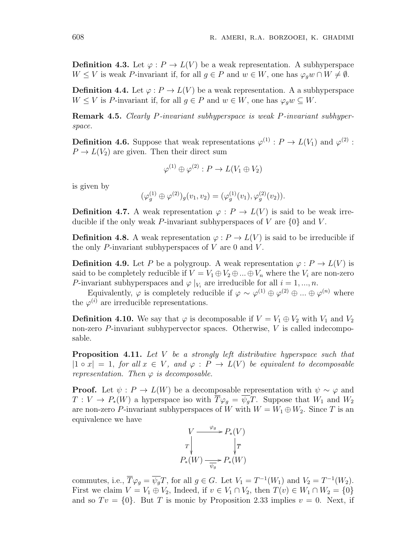**Definition 4.3.** Let  $\varphi: P \to L(V)$  be a weak representation. A subhyperspace *W* ≤ *V* is weak *P*-invariant if, for all *g* ∈ *P* and *w* ∈ *W*, one has  $\varphi_q w \cap W \neq \emptyset$ .

**Definition 4.4.** Let  $\varphi: P \to L(V)$  be a weak representation. A a subhyperspace  $W \leq V$  is *P*-invariant if, for all  $g \in P$  and  $w \in W$ , one has  $\varphi_q w \subseteq W$ .

**Remark 4.5.** *Clearly P-invariant subhyperspace is weak P-invariant subhyperspace.*

**Definition 4.6.** Suppose that weak representations  $\varphi^{(1)} : P \to L(V_1)$  and  $\varphi^{(2)}$ :  $P \to L(V_2)$  are given. Then their direct sum

$$
\varphi^{(1)} \oplus \varphi^{(2)} : P \to L(V_1 \oplus V_2)
$$

is given by

$$
(\varphi_g^{(1)} \oplus \varphi^{(2)})_g(v_1, v_2) = (\varphi_g^{(1)}(v_1), \varphi_g^{(2)}(v_2)).
$$

**Definition 4.7.** A weak representation  $\varphi : P \to L(V)$  is said to be weak irreducible if the only weak *P*-invariant subhyperspaces of *V* are *{*0*}* and *V* .

**Definition 4.8.** A weak representation  $\varphi : P \to L(V)$  is said to be irreducible if the only *P*-invariant subhyperspaces of *V* are 0 and *V* .

**Definition 4.9.** Let P be a polygroup. A weak representation  $\varphi: P \to L(V)$  is said to be completely reducible if  $V = V_1 \oplus V_2 \oplus ... \oplus V_n$  where the  $V_i$  are non-zero *P*-invariant subhyperspaces and  $\varphi |_{V_i}$  are irreducible for all  $i = 1, ..., n$ .

Equivalently,  $\varphi$  is completely reducible if  $\varphi \sim \varphi^{(1)} \oplus \varphi^{(2)} \oplus ... \oplus \varphi^{(n)}$  where the  $\varphi^{(i)}$  are irreducible representations.

**Definition 4.10.** We say that  $\varphi$  is decomposable if  $V = V_1 \oplus V_2$  with  $V_1$  and  $V_2$ non-zero *P*-invariant subhypervector spaces. Otherwise, *V* is called indecomposable.

**Proposition 4.11.** *Let V be a strongly left distributive hyperspace such that*  $|1 \circ x| = 1$ , *for all*  $x \in V$ , *and*  $\varphi : P \to L(V)$  *be equivalent to decomposable representation. Then*  $\varphi$  *is decomposable.* 

**Proof.** Let  $\psi$  :  $P \to L(W)$  be a decomposable representation with  $\psi \sim \varphi$  and  $T: V \to P_*(W)$  a hyperspace iso with  $\overline{T}\varphi_g = \overline{\psi_g}T$ . Suppose that  $W_1$  and  $W_2$ are non-zero *P*-invariant subhyperspaces of *W* with  $W = W_1 \oplus W_2$ . Since *T* is an equivalence we have

$$
V \xrightarrow{\varphi_g} P_*(V)
$$
  
\n
$$
T \downarrow \qquad \qquad \downarrow \overline{T}
$$
  
\n
$$
P_*(W) \xrightarrow{\overline{\psi_g}} P_*(W)
$$

commutes, i.e.,  $\overline{T}\varphi_g = \overline{\psi_g}T$ , for all  $g \in G$ . Let  $V_1 = T^{-1}(W_1)$  and  $V_2 = T^{-1}(W_2)$ . First we claim  $V = V_1 \oplus V_2$ , Indeed, if  $v \in V_1 \cap V_2$ , then  $T(v) \in W_1 \cap W_2 = \{0\}$ and so  $Tv = \{0\}$ . But *T* is monic by Proposition 2.33 implies  $v = 0$ . Next, if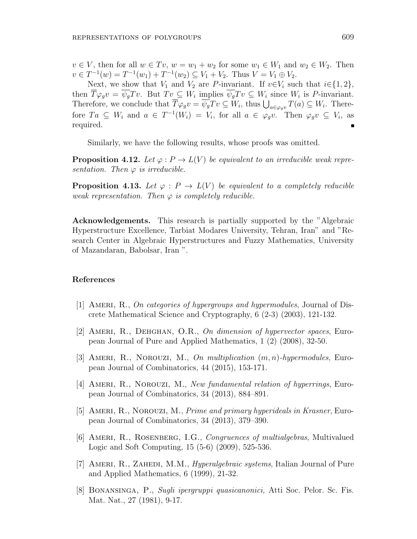$v \in V$ , then for all  $w \in Tv$ ,  $w = w_1 + w_2$  for some  $w_1 \in W_1$  and  $w_2 \in W_2$ . Then  $v \in T^{-1}(w) = T^{-1}(w_1) + T^{-1}(w_2) \subseteq V_1 + V_2$ . Thus  $V = V_1 \oplus V_2$ .

Next, we show that  $V_1$  and  $V_2$  are *P*-invariant. If  $v \in V_i$  such that  $i \in \{1, 2\}$ , then  $T\varphi_g v = \psi_g Tv$ . But  $Tv \subseteq W_i$  implies  $\psi_g Tv \subseteq W_i$  since  $W_i$  is P-invariant. Therefore, we conclude that  $\overline{T}\varphi_g v = \overline{\psi_g}Tv \subseteq W_i$ , thus  $\bigcup_{a \in \varphi_g v} T(a) \subseteq W_i$ . Therefore  $Ta \subseteq W_i$  and  $a \in T^{-1}(W_i) = V_i$ , for all  $a \in \varphi_g v$ . Then  $\varphi_g v \subseteq V_i$ , as required.

Similarly, we have the following results, whose proofs was omitted.

**Proposition 4.12.** Let  $\varphi$ :  $P \to L(V)$  be equivalent to an irreducible weak repre*sentation.* Then  $\varphi$  *is irreducible.* 

**Proposition 4.13.** Let  $\varphi : P \to L(V)$  be equivalent to a completely reducible *weak representation. Then*  $\varphi$  *is completely reducible.* 

**Acknowledgements.** This research is partially supported by the "Algebraic Hyperstructure Excellence, Tarbiat Modares University, Tehran, Iran" and "Research Center in Algebraic Hyperstructures and Fuzzy Mathematics, University of Mazandaran, Babolsar, Iran ".

#### **References**

- [1] Ameri, R., *On categories of hypergroups and hypermodules*, Journal of Discrete Mathematical Science and Cryptography, 6 (2-3) (2003), 121-132.
- [2] Ameri, R., Dehghan, O.R., *On dimension of hypervector spaces*, European Journal of Pure and Applied Mathematics, 1 (2) (2008), 32-50.
- [3] Ameri, R., Norouzi, M., *On multiplication* (*m, n*)*-hypermodules*, European Journal of Combinatorics, 44 (2015), 153-171.
- [4] Ameri, R., Norouzi, M., *New fundamental relation of hyperrings*, European Journal of Combinatorics, 34 (2013), 884–891.
- [5] Ameri, R., Norouzi, M., *Prime and primary hyperideals in Krasner*, European Journal of Combinatorics, 34 (2013), 379–390.
- [6] Ameri, R., Rosenberg, I.G., *Congruences of multialgebras*, Multivalued Logic and Soft Computing, 15 (5-6) (2009), 525-536.
- [7] Ameri, R., Zahedi, M.M., *Hyperalgebraic systems*, Italian Journal of Pure and Applied Mathematics, 6 (1999), 21-32.
- [8] Bonansinga, P., *Sugli ipergruppi quasicanonici,* Atti Soc. Pelor. Sc. Fis. Mat. Nat., 27 (1981), 9-17.